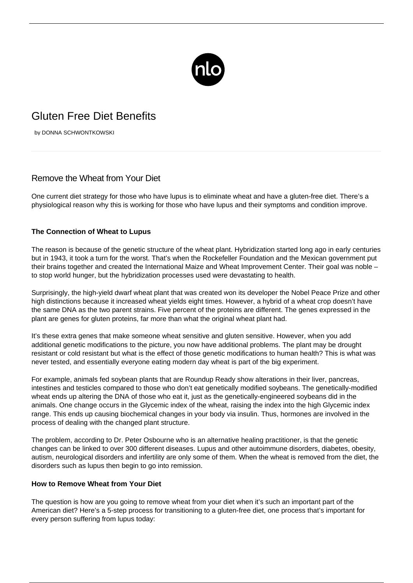

## Gluten Free Diet Benefits

by DONNA SCHWONTKOWSKI

## Remove the Wheat from Your Diet

One current [diet strategy](http://dm2.newlifeoutlook.com/registered-dietitians-support-role-in-type-2-diabetes/) for those who have lupus is to eliminate wheat and have a gluten-free diet. There's a physiological reason why this is working for those who have lupus and their symptoms and condition improve.

## **The Connection of Wheat to Lupus**

The reason is because of the genetic structure of the wheat plant. Hybridization started long ago in early centuries but in 1943, it took a turn for the worst. That's when the Rockefeller Foundation and the Mexican government put their brains together and created the International Maize and Wheat Improvement Center. Their goal was noble – to stop world hunger, but the hybridization processes used were devastating to health.

Surprisingly, the high-yield dwarf wheat plant that was created won its developer the Nobel Peace Prize and other high distinctions because it increased wheat yields eight times. However, a hybrid of a wheat crop doesn't have the same DNA as the two parent strains. Five percent of the proteins are different. The genes expressed in the plant are genes for gluten proteins, far more than what the original wheat plant had.

It's these extra genes that make someone wheat sensitive and gluten sensitive. However, when you add additional genetic modifications to the picture, you now have additional problems. The plant may be drought resistant or cold resistant but what is the effect of those genetic modifications to human health? This is what was never tested, and essentially everyone eating modern day wheat is part of the big experiment.

For example, animals fed soybean plants that are Roundup Ready show alterations in their liver, pancreas, intestines and testicles compared to those who don't eat genetically modified soybeans. The genetically-modified wheat ends up altering the DNA of those who eat it, just as the genetically-engineered soybeans did in the animals. One change occurs in the Glycemic index of the wheat, raising the index into the high Glycemic index range. This ends up causing biochemical changes in your body via insulin. Thus, hormones are involved in the process of dealing with the changed plant structure.

The problem, according to Dr. Peter Osbourne who is an alternative healing practitioner, is that the genetic changes can be linked to over 300 different diseases. Lupus and other autoimmune disorders, diabetes, obesity, autism, neurological disorders and infertility are only some of them. When the wheat is removed from the diet, the disorders such as lupus then begin to go into remission.

## **How to Remove Wheat from Your Diet**

The question is how are you going to remove wheat from your diet when it's such an important part of the American diet? Here's a 5-step process for transitioning to a gluten-free diet, one process that's important for every person suffering from lupus today: